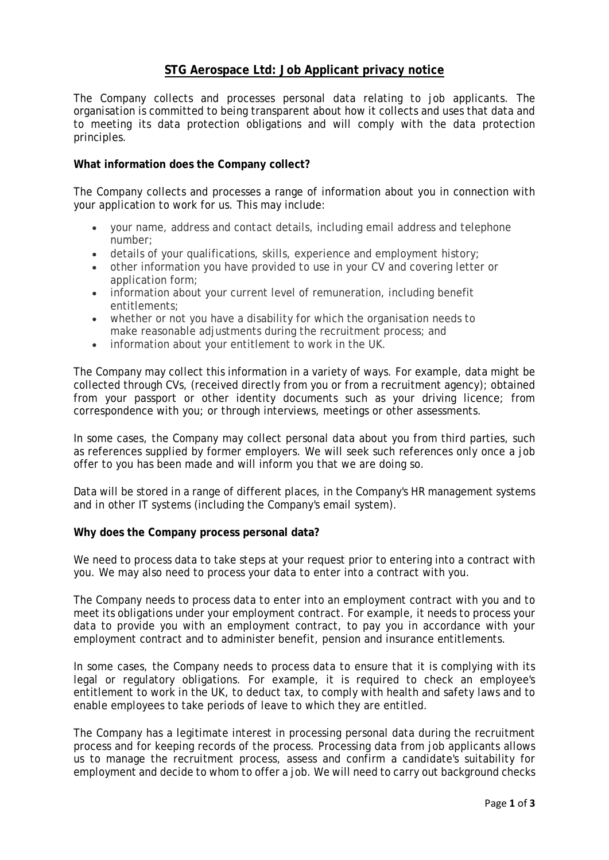# **STG Aerospace Ltd: Job Applicant privacy notice**

The Company collects and processes personal data relating to job applicants. The organisation is committed to being transparent about how it collects and uses that data and to meeting its data protection obligations and will comply with the data protection principles.

# **What information does the Company collect?**

The Company collects and processes a range of information about you in connection with your application to work for us. This may include:

- your name, address and contact details, including email address and telephone number;
- details of your qualifications, skills, experience and employment history;
- other information you have provided to use in your CV and covering letter or application form;
- information about your current level of remuneration, including benefit entitlements;
- whether or not you have a disability for which the organisation needs to make reasonable adjustments during the recruitment process; and
- information about your entitlement to work in the UK.

The Company may collect this information in a variety of ways. For example, data might be collected through CVs, (received directly from you or from a recruitment agency); obtained from your passport or other identity documents such as your driving licence; from correspondence with you; or through interviews, meetings or other assessments.

In some cases, the Company may collect personal data about you from third parties, such as references supplied by former employers. We will seek such references only once a job offer to you has been made and will inform you that we are doing so.

Data will be stored in a range of different places, in the Company's HR management systems and in other IT systems (including the Company's email system).

### **Why does the Company process personal data?**

We need to process data to take steps at your request prior to entering into a contract with you. We may also need to process your data to enter into a contract with you.

The Company needs to process data to enter into an employment contract with you and to meet its obligations under your employment contract. For example, it needs to process your data to provide you with an employment contract, to pay you in accordance with your employment contract and to administer benefit, pension and insurance entitlements.

In some cases, the Company needs to process data to ensure that it is complying with its legal or regulatory obligations. For example, it is required to check an employee's entitlement to work in the UK, to deduct tax, to comply with health and safety laws and to enable employees to take periods of leave to which they are entitled.

The Company has a legitimate interest in processing personal data during the recruitment process and for keeping records of the process. Processing data from job applicants allows us to manage the recruitment process, assess and confirm a candidate's suitability for employment and decide to whom to offer a job. We will need to carry out background checks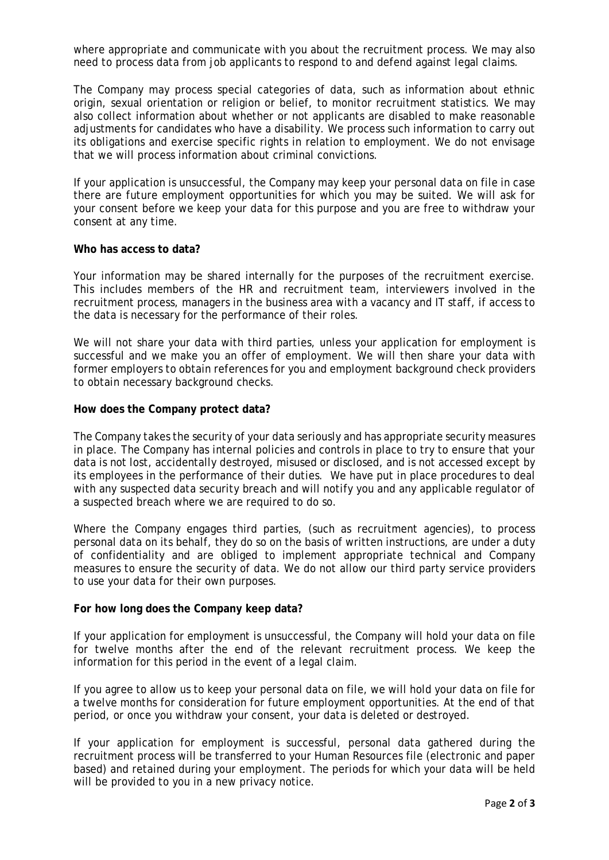where appropriate and communicate with you about the recruitment process. We may also need to process data from job applicants to respond to and defend against legal claims.

The Company may process special categories of data, such as information about ethnic origin, sexual orientation or religion or belief, to monitor recruitment statistics. We may also collect information about whether or not applicants are disabled to make reasonable adjustments for candidates who have a disability. We process such information to carry out its obligations and exercise specific rights in relation to employment. We do not envisage that we will process information about criminal convictions.

If your application is unsuccessful, the Company may keep your personal data on file in case there are future employment opportunities for which you may be suited. We will ask for your consent before we keep your data for this purpose and you are free to withdraw your consent at any time.

#### **Who has access to data?**

Your information may be shared internally for the purposes of the recruitment exercise. This includes members of the HR and recruitment team, interviewers involved in the recruitment process, managers in the business area with a vacancy and IT staff, if access to the data is necessary for the performance of their roles.

We will not share your data with third parties, unless your application for employment is successful and we make you an offer of employment. We will then share your data with former employers to obtain references for you and employment background check providers to obtain necessary background checks.

#### **How does the Company protect data?**

The Company takes the security of your data seriously and has appropriate security measures in place. The Company has internal policies and controls in place to try to ensure that your data is not lost, accidentally destroyed, misused or disclosed, and is not accessed except by its employees in the performance of their duties. We have put in place procedures to deal with any suspected data security breach and will notify you and any applicable regulator of a suspected breach where we are required to do so.

Where the Company engages third parties, (such as recruitment agencies), to process personal data on its behalf, they do so on the basis of written instructions, are under a duty of confidentiality and are obliged to implement appropriate technical and Company measures to ensure the security of data. We do not allow our third party service providers to use your data for their own purposes.

## **For how long does the Company keep data?**

If your application for employment is unsuccessful, the Company will hold your data on file for twelve months after the end of the relevant recruitment process. We keep the information for this period in the event of a legal claim.

If you agree to allow us to keep your personal data on file, we will hold your data on file for a twelve months for consideration for future employment opportunities. At the end of that period, or once you withdraw your consent, your data is deleted or destroyed.

If your application for employment is successful, personal data gathered during the recruitment process will be transferred to your Human Resources file (electronic and paper based) and retained during your employment. The periods for which your data will be held will be provided to you in a new privacy notice.